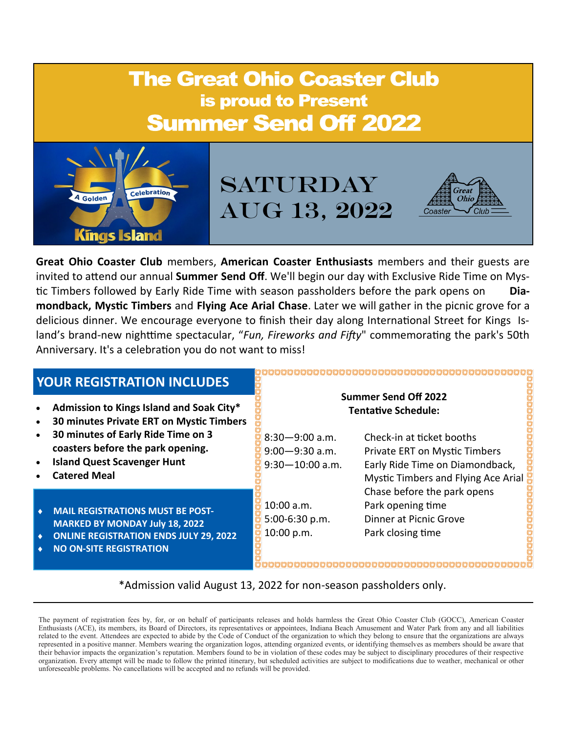

**Great Ohio Coaster Club** members, **American Coaster Enthusiasts** members and their guests are invited to attend our annual **Summer Send Off**. We'll begin our day with Exclusive Ride Time on Mystic Timbers followed by Early Ride Time with season passholders before the park opens on **Diamondback, Mystic Timbers** and **Flying Ace Arial Chase**. Later we will gather in the picnic grove for a delicious dinner. We encourage everyone to finish their day along International Street for Kings Island's brand-new nighttime spectacular, "*Fun, Fireworks and Fifty*" commemorating the park's 50th Anniversary. It's a celebration you do not want to miss!

| <b>YOUR REGISTRATION INCLUDES</b>                                                                 |                                                           |                                      |  |  |
|---------------------------------------------------------------------------------------------------|-----------------------------------------------------------|--------------------------------------|--|--|
| Admission to Kings Island and Soak City*<br>30 minutes Private ERT on Mystic Timbers<br>$\bullet$ | <b>Summer Send Off 2022</b><br><b>Tentative Schedule:</b> |                                      |  |  |
| 30 minutes of Early Ride Time on 3                                                                | $8:30 - 9:00$ a.m.                                        | Check-in at ticket booths            |  |  |
| coasters before the park opening.                                                                 | $9:00 - 9:30$ a.m.                                        | <b>Private ERT on Mystic Timbers</b> |  |  |
| <b>Island Quest Scavenger Hunt</b>                                                                | $9:30 - 10:00$ a.m.                                       | Early Ride Time on Diamondback,      |  |  |
| <b>Catered Meal</b>                                                                               |                                                           | Mystic Timbers and Flying Ace Arial  |  |  |
|                                                                                                   |                                                           | Chase before the park opens          |  |  |
| <b>MAIL REGISTRATIONS MUST BE POST-</b>                                                           | 10:00 a.m.                                                | Park opening time                    |  |  |
| <b>MARKED BY MONDAY July 18, 2022</b>                                                             | 5:00-6:30 p.m.                                            | Dinner at Picnic Grove               |  |  |
| <b>ONLINE REGISTRATION ENDS JULY 29, 2022</b><br>$\bullet$                                        | 10:00 p.m.                                                | Park closing time                    |  |  |
| <b>NO ON-SITE REGISTRATION</b>                                                                    |                                                           |                                      |  |  |
|                                                                                                   |                                                           |                                      |  |  |
|                                                                                                   |                                                           |                                      |  |  |

\*Admission valid August 13, 2022 for non-season passholders only.

The payment of registration fees by, for, or on behalf of participants releases and holds harmless the Great Ohio Coaster Club (GOCC), American Coaster Enthusiasts (ACE), its members, its Board of Directors, its representatives or appointees, Indiana Beach Amusement and Water Park from any and all liabilities related to the event. Attendees are expected to abide by the Code of Conduct of the organization to which they belong to ensure that the organizations are always represented in a positive manner. Members wearing the organization logos, attending organized events, or identifying themselves as members should be aware that their behavior impacts the organization's reputation. Members found to be in violation of these codes may be subject to disciplinary procedures of their respective organization. Every attempt will be made to follow the printed itinerary, but scheduled activities are subject to modifications due to weather, mechanical or other unforeseeable problems. No cancellations will be accepted and no refunds will be provided.